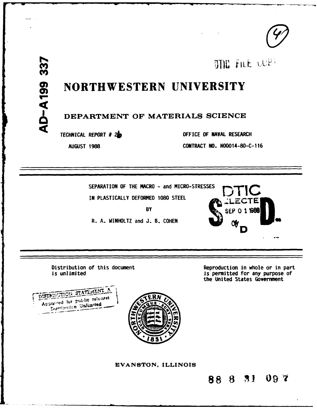OTHE FILE LURY

# NORTHWESTERN UNIVERSITY

# DEPARTMENT OF MATERIALS SCIENCE

TECHNICAL REPORT # 26

AUGUST 1988

OFFICE OF NAVAL RESEARCH

CONTRACT NO. NO0014-80-C-116

SEPARATION OF THE MACRO - and MICRO-STRESSES IN PLASTICALLY DEFORMED 1080 STEEL

**BY** 

R. A. WINHOLTZ and J. B. COHEN

Reproduction in whole or in part is permitted for any purpose of the United States Government

D

1988

Distribution of this document



is unlimited



EVANSTON, ILLINOIS

88 8 31 097

**AD-A199** 

337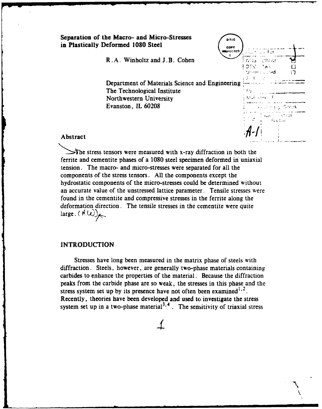|          | Separation of the Macro- and Micro-Stresses<br>in Plastically Deformed 1080 Steel | <b>DTIC</b><br>COPY<br><b>WISPECTED</b><br><b>Pace UV For</b> |
|----------|-----------------------------------------------------------------------------------|---------------------------------------------------------------|
|          | R.A. Winholtz and J.B. Cohen                                                      | i Mila<br>寸井の乱<br>IDEN TAS<br>Unanicul and                    |
|          | Department of Materials Science and Engineering<br>The Technological Institute    |                                                               |
|          | Northwestern University<br>Evanston, IL 60208                                     | セボット・コー<br>y kutha a Coos                                     |
| Abstract |                                                                                   | were likely or<br>Scotial                                     |

The stress tensors were measured with x-ray diffraction in both the ferrite and cementite phases of a **1080** steel specimen deformed in uniaxial tension. The macro- and micro-stresses were separated for all the components of the stress tensors. **All** the components except the hydrostatic components of the micro-stresses could be determined without an accurate value of the unstressed lattice parameter. Tensile stresses were found in the cementite and compressive stresses in the ferrite along the deformation direction. The tensile stresses in the cementite were quite  $\langle A \cup \rangle$ 

#### **INTRODUCTION**

Stresses have long been measured in the matrix phase of steels with diffraction. Steels, however, are generally two-phase materials containing carbides to enhance the properties of the material. Because the diffraction peaks from the carbide phase are so weak, the stresses in this phase and the stress system set up by its presence have not often been examined<sup> $1,2$ </sup>. Recently, theories have been developed and used to investigate the stress system set up in a two-phase material<sup>3,4</sup>. The sensitivity of triaxial stress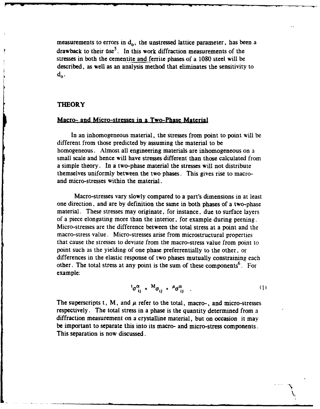measurements to errors in  $d_0$ , the unstressed lattice parameter, has been a drawback to their use<sup>5</sup>. In this work diffraction measurements of the stresses in both the cementite and ferrite phases of a **1080** steel will be described, as well as an analysis method that eliminates the sensitivity to  $d_{\alpha}$ .

#### **THEORY**

#### Macro- and Micro-stresses in a Two-Phase Material

In an inhomogeneous material, the stresses from point to point will be different from those predicted **by** assuming the material to be homogeneous. Almost all engineering materials are inhomogeneous on a small scale and hence will have stresses different than those calculated from a simple theory. In a two-phase material the stresses will not distribute themselves uniformly between the two phases. This gives rise to macroand micro-stresses within the material.

Macro-stresses vary slowly compared to a part's dimensions in at least one direction. and are **by** definition the same in both phases of a two-phase material. These stresses may originate, for instance, due to surface layers of a piece elongating more than the interior, for example during peening. Micro-stresses are the difference between the total stress at a point and the macro-stress value. Micro-stresses arise from microstructural properties that cause the stresses to deviate from the macro-stress value from point to point such as the yielding of one phase preferrentially to the other, or differences in the elastic response of two phases mutually constraining each other. The total stress at any point is the sum of these components<sup>6</sup>. For example:

$$
{}^{t}\sigma_{ii}^{\alpha} = {}^{M}\sigma_{ii} + {}^{\mu}\sigma_{ii}^{\alpha} \qquad (1)
$$

-'4 V

The superscripts t, M, and  $\mu$  refer to the total, macro-, and micro-stresses respectively. The total stress in a phase is the quantity determined from a diffraction measurement on a crystalline material, but on occasion it may be important to separate this into its macro- and micro-stress components. This separation is now discussed.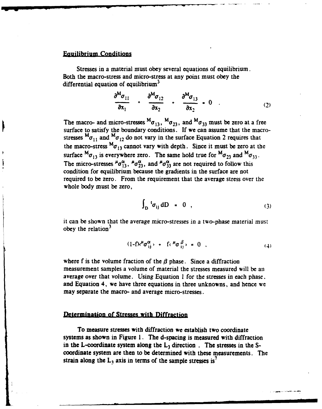#### Equilibrium Conditions

Stresses in a material must obey several equations of equilibrium. Both the macro-stress and micro-stress at any point must obey the differential equation of equilibrium<sup>3</sup>

$$
\frac{\partial^{M} \sigma_{11}}{\partial x_{1}} \quad \cdot \quad \frac{\partial^{M} \sigma_{12}}{\partial x_{2}} \quad \cdot \quad \frac{\partial^{M} \sigma_{13}}{\partial x_{2}} \quad = \quad 0 \quad . \tag{2}
$$

The macro- and micro-stresses  ${}^{M}\sigma_{13}$ ,  ${}^{M}\sigma_{23}$ , and  ${}^{M}\sigma_{33}$  must be zero at a free surface to satisfy the boundary conditions. **If** we can assume that the macrostresses  ${}^{\text{M}}\sigma_{11}$  and  ${}^{\text{M}}\sigma_{12}$  do not vary in the surface Equation 2 requires that the macro-stress  $^{M}\sigma_{13}$  cannot vary with depth. Since it must be zero at the surface  ${}^{\mathbf{M}}\sigma_{13}$  is everywhere zero. The same hold true for  ${}^{\mathbf{M}}\sigma_{23}$  and  ${}^{\mathbf{M}}\sigma_{33}$ . The micro-stresses  $^{\mu} \sigma_{13}^{\alpha}$ ,  $^{\mu} \sigma_{23}^{\alpha}$ , and  $^{\mu} \sigma_{33}^{\alpha}$  are not required to follow this condition for equilibrium because the gradients in the surface are not required to be zero. From the requirement that the average stress over the whole body must be zero,

$$
\int_{D} {}^{t} \sigma_{ij} \, dD = 0 \quad , \tag{3}
$$

**it** can be shown that the average micro-stresses in a two-phase material must obey the relation $3$ 

$$
(1-f)\epsilon^{\mu}\sigma_{ij}^{\alpha} \rightarrow f\epsilon^{\mu}\sigma_{ii}^{\beta} \rightarrow 0 \quad , \tag{4}
$$

where f is the volume fraction of the  $\beta$  phase. Since a diffraction measurement samples a volume of material the stresses measured will be an average over that volume. Using Equation **I** for the stresses in each phase. and Equation **4,** we have three equations in three unknowns, and hence we may separate the macro- and average micro-stresses.

#### **Determination** of Stresses with Diffraction

To measure stresses with diffraction we establish two coordinate systems as shown in Figure **1.** The d-spacing is measured with diffraction in the L-coordinate system along the  $L_3$  direction . The stresses in the Scoordinate system are then to be determined with these measurements. The strain along the  $L_3$  axis in terms of the sample stresses is<sup>7</sup>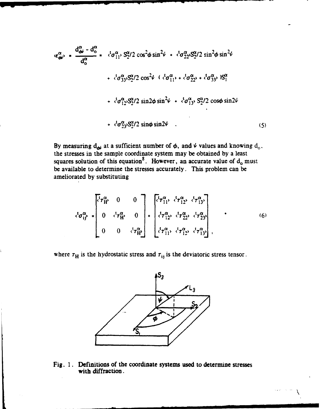$$
\langle \epsilon_{\theta\theta}^{\alpha} \rangle = \frac{d_{\theta\theta}^{\alpha} - d_{0}^{\alpha}}{d_{0}^{\alpha}} = \langle {}^{t}\sigma_{11}^{\alpha} \rangle S_{2}^{\alpha}/2 \cos^{2}\phi \sin^{2}\psi + \langle {}^{t}\sigma_{22}^{\alpha} \rangle S_{2}^{\alpha}/2 \sin^{2}\phi \sin^{2}\psi
$$
  
+ 
$$
\langle {}^{t}\sigma_{33}^{\alpha} \rangle S_{2}^{\alpha}/2 \cos^{2}\psi + \langle {}^{t}\sigma_{11}^{\alpha} \rangle + \langle {}^{t}\sigma_{22}^{\alpha} \rangle + \langle {}^{t}\sigma_{12}^{\alpha} \rangle S_{2}^{\alpha}/2 \sin 2\phi \sin^{2}\psi + \langle {}^{t}\sigma_{13}^{\alpha} \rangle S_{2}^{\alpha}/2 \cos\phi \sin 2\psi
$$
  
+ 
$$
\langle {}^{t}\sigma_{23}^{\alpha} \rangle S_{2}^{\alpha}/2 \sin\phi \sin 2\psi
$$
 (5)

By measuring  $d_{\theta}$  at a sufficient number of  $\phi$ , and  $\psi$  values and knowing  $d_o$ . the stresses in the sample coordinate system may be obtained **by** a least squares solution of this equation<sup>8</sup>. However, an accurate value of  $d_0$  must be available to determine the stresses accurately. This problem can be ameliorated **by** substituting

$$
\langle \sigma_{ij}^{\alpha} \rangle = \begin{bmatrix} \langle \tau_{H}^{\alpha} & 0 & 0 \\ 0 & \langle \tau_{H}^{\alpha} \rangle & 0 \\ 0 & 0 & \langle \tau_{H}^{\alpha} \rangle \end{bmatrix} + \begin{bmatrix} \langle \tau_{11}^{\alpha} \rangle & \langle \tau_{12}^{\alpha} \rangle & \langle \tau_{13}^{\alpha} \rangle \\ \langle \tau_{12}^{\alpha} \rangle & \langle \tau_{22}^{\alpha} \rangle & \langle \tau_{23}^{\alpha} \rangle \\ \langle \tau_{11}^{\alpha} \rangle & \langle \tau_{12}^{\alpha} \rangle & \langle \tau_{13}^{\alpha} \rangle \end{bmatrix}, \qquad (6)
$$

where  $\tau_H$  is the hydrostatic stress and  $\tau_{ij}$  is the deviatoric stress tensor.



Fig. **1.** Definitions of the coordinate systems used to determine stresses with diffraction.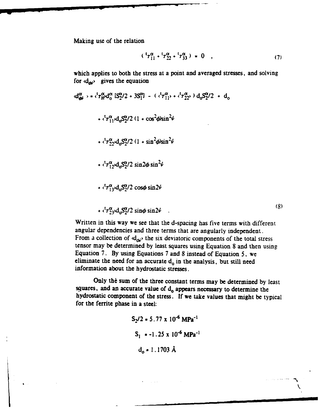Making use of the relation

$$
({}^{t}7_{11}^{\alpha}+{}^{t}7_{22}^{\alpha}+{}^{t}7_{33}^{\alpha})=0 , \qquad (7)
$$

which applies to both the stress at a point and averaged stresses, and solving for  $\langle d_{\text{div}} \rangle$  gives the equation

$$
\langle d_{\theta\theta}^{\alpha} \rangle = \langle \tau_{H}^{\alpha} d_{0}^{\alpha} [S_{2}^{\alpha}/2 + 3S_{1}^{\alpha}] - (\langle \tau_{11}^{\alpha} \rangle + \langle \tau_{22}^{\alpha} \rangle) d_{0} S_{2}^{\alpha}/2 + d_{0}
$$
  
+  $\langle \tau_{11}^{\alpha} \rangle d_{0} S_{2}^{\alpha}/2 (1 + \cos^{2} \phi \sin^{2} \psi$   
+  $\langle \tau_{22}^{\alpha} \rangle d_{0} S_{2}^{\alpha}/2 (1 + \sin^{2} \phi \sin^{2} \psi$   
+  $\langle \tau_{12}^{\alpha} d_{0} S_{2}^{\alpha}/2 \sin^{2} \phi \sin^{2} \psi$   
+  $\langle \tau_{13}^{\alpha} \rangle d_{0} S_{2}^{\alpha}/2 \cos \phi \sin 2\psi$   
+  $\langle \tau_{23}^{\alpha} \rangle d_{0} S_{2}^{\alpha}/2 \cos \phi \sin 2\psi$  (8)

Written in this way we see that the d-spacing has five terms with different angular dependencies and three terms that are angularly independent. From a collection of  $d_{\alpha\beta}$  the six deviatoric components of the total stress tensor may be determined **by** least squares using Equation 8 and then using Equation **7. By** using Equations 7 and 8 instead of Equation **5,** we eliminate the need for an accurate d<sub>o</sub> in the analysis, but still need information about the hydrostatic stresses.

Only the sum of the three constant terms may be determined by least squares, and an accurate value of d<sub>o</sub> appears necessary to determine the hydrostatic component of the stress. **If** we take values that might **be** typical for the ferrite phase in a steel:

$$
S_2/2 = 5.77 \times 10^{-6} \text{ MPa}^{-1}
$$
  

$$
S_1 = -1.25 \times 10^{-6} \text{ MPa}^{-1}
$$
  

$$
d_0 = 1.1703 \text{ Å}
$$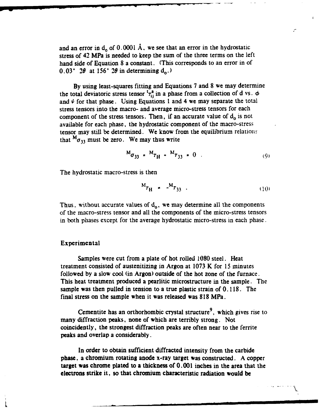and an error in  $d_0$  of  $0.0001$  Å, we see that an error in the hydrostatic stress of 42 MPa is needed to keep the sum of the three terms on the left hand side of Equation **8** a constant. (This corresponds to an error in of  $0.03^{\circ}$   $2\theta$  at 156°  $2\theta$  in determining  $d_0$ .)

**By** using least-squares fitting and Equations **7** and **8** we may determine the total deviatoric stress tensor  ${}^{t}\tau_{ii}^{a}$  in a phase from a collection of d vs.  $\phi$ and  $\psi$  for that phase. Using Equations 1 and 4 we may separate the total stress tensors into the macro- and average micro-stress tensors for each component of the stress tensors. Then, if an accurate value of  $d_0$  is not available for each phase, the hydrostatic component of the macro-stress tensor may still be determined. We know from the equilibrium relations that  ${}^{M}\sigma_{33}$  must be zero. We may thus write

$$
M_{\sigma_{33}} = M_{\tau_{\rm H}} \cdot M_{\tau_{33}} = 0 \tag{9}
$$

The hydrostatic macro-stress is then

$$
M_{\tau_{\rm H}} = -M_{\tau_{33}} \tag{10}
$$

Thus, without accurate values of  $d_0$ , we may determine all the components **of** the macro-stress tensor and all the components of the micro-stress tensors in both phases except for the average hydrostatic micro-stress in each phase.

#### Experimental

Samples were cut from a plate of hot rolled **1080** steel. Heat treatment consisted of austenitizing in Argon at 1073 K for 15 minutes followed **by** a slow cool (in Argon) outside of the hot zone of the furnace. This heat treatment produced a pearlitic microstructure in the sample. The sample was then pulled in tension to a true plastic strain of 0. 118. The final stress on the sample when it was released was **818** MPa.

Cementite has an orthorhombic crystal structure<sup>9</sup>, which gives rise to many diffraction peaks, none of which are terribly strong. Not coincidently, the strongest diffraction peaks are often near to the ferrite peaks and overlap a considerably.

In order to obtain sufficient diffracted intensity from the carbide phase, a chromium rotating anode x-ray target was constructed. A copper target was chrome plated to a thickness of **0. 001** inches in the area that the electrons strike **it,** so that chromium characteristic radiation would be

imLmmmm mmm m -m m m

**V**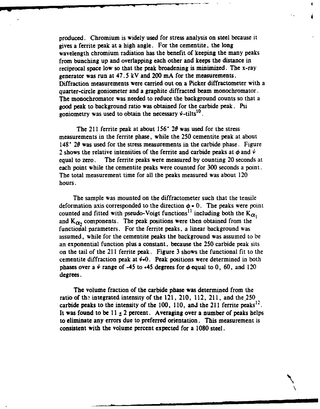produced. Chromium is widely used for stress analysis on steel because it gives a ferrite peak at a high angle. For the cementite, the long wavelength chromium radiation has the benefit of keeping the many peaks from bunching up and overlapping each other and keeps the distance in reciprocal space low so that the peak broadening is minimized. The x-ray generator was run at 47.5 **kV** and 200 **mA** for the measurements. Diffraction measurements were carried out on a Picker diffractometer with a quarter-circle goniometer and a graphite diffracted beam monochromator. The monochromator was needed to reduce the background counts so that a good peak to background ratio was obtained for the carbide peak. Psi goniometry was used to obtain the necessary  $\psi$ -tilts<sup>10</sup>.

The 211 ferrite peak at about **156\*** 20 was used for the stress measurements in the ferrite phase, while the **250** cementite peak at about 148 $^{\circ}$  20 was used for the stress measurements in the carbide phase. Figure 2 shows the relative intensities of the ferrite and carbide peaks at  $\phi$  and  $\psi$ equal to zero. The ferrite peaks were measured **by** counting 20 seconds at each point while the cementite peaks were counted for **300** seconds a point. The total measurement time for all the peaks measured was about 120 hours.

The sample was mounted on the diffractometer such that the tensile deformation axis corresponded to the direction  $\phi = 0$ . The peaks were point counted and fitted with pseudo-Voigt functions<sup>11</sup> including both the  $K_{\alpha}$ , and  $K_{\alpha}$  components. The peak positions were then obtained from the functional parameters. For the ferrite peaks, a linear background was assumed, while for the cementite peaks the background was assumed to be an exponential function plus a constant, because the **250** carbide peak sits on the tail of the **211** ferrite peak. Figure **3** shows the functional fit to the cementite diffraction peak at  $\psi$ =0. Peak positions were determined in both phases over a  $\psi$  range of -45 to  $\star$ 45 degrees for  $\phi$  equal to 0, 60, and 120 degrees.

The volume fraction of the carbide phase was determined from the ratio of the integrated intensity of the 121, 210, 112, **211,** and the 250 carbide peaks to the intensity of the **100, 110,** and the **211** ferrite peaks' It was found to be  $11 \pm 2$  percent. Averaging over a number of peaks helps to eliminate any errors due to preferred orientation. This measurement is consistent with the volume percent expected for a **1080** steel.

N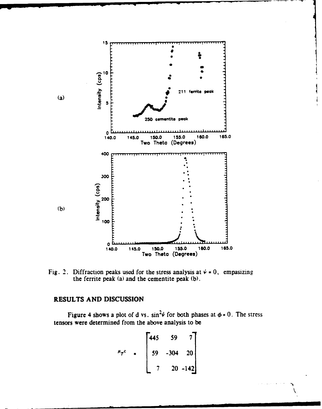

Fig. 2. Diffraction peaks used for the stress analysis at  $\psi = 0$ , empasizing the ferrite peak (a) and the cementite peak **(b).**

## **RESULTS AND DISCUSSION**

Figure 4 shows a plot of **d** vs.  $\sin^2\psi$  for both phases at  $\phi = 0$ . The stress tensors were determined from the above analysis to be

$$
\mu_{\tau}c = \begin{bmatrix} 445 & 59 & 7 \\ 59 & -304 & 20 \\ 7 & 20 & -142 \end{bmatrix}
$$

 $\frac{1}{\sqrt{2}}$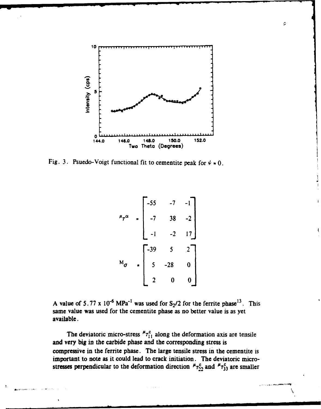

Fig. 3. Psuedo-Voigt functional fit to cementite peak for  $\psi = 0$ .

$$
\mu_{\tau} \alpha = \begin{bmatrix} -55 & -7 & -1 \\ -7 & 38 & -2 \\ -1 & -2 & 17 \end{bmatrix}
$$
  
  
M<sub>σ</sub> = 
$$
\begin{bmatrix} -39 & 5 & 2 \\ 5 & -28 & 0 \\ 2 & 0 & 0 \end{bmatrix}
$$

A value of  $5.77 \times 10^{-6} \text{ MPa}^{-1}$  was used for  $S_2/2$  for the ferrite phase<sup>13</sup>. This same value was used for the cementite phase as no better value is as yet available.

The deviatoric micro-stress  ${}^{\mu}r_{11}^c$  along the deformation axis are tensile and very big in the carbide phase and the corresponding stress is compressive in the ferrite phase. The large tensile stress in the cementite is important to note as it could lead to crack initiation. The deviatoric microstresses perpendicular to the deformation direction  $r_{22}^c$  and  $r_{73}^c$  are smaller ¢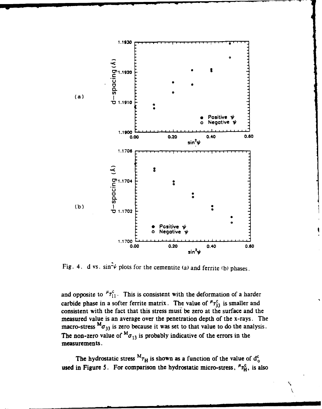

Fig. 4. d vs.  $\sin^2\psi$  plots for the cementite (a) and ferrite (b) phases.

and opposite to  ${}^{\mu} \tau_{11}^{c}$ . This is consistent with the deformation of a harder carbide phase in a softer ferrite matrix. The value of  ${}^{\mu}r_{33}^c$  is smaller and consistent with the fact that this stress must be zero at the surface and the measured value is an average over the penetration depth of the x-rays. The macro-stress  $^{M}\sigma_{33}$  is zero because it was set to that value to do the analysis. The non-zero value of  ${}^M\sigma_{13}$  is probably indicative of the errors in the measurements.

The hydrostatic stress  ${}^{M}\tau_H$  is shown as a function of the value of  $d_o^c$ used in Figure 5. For comparison the hydrostatic micro-stress,  ${}^{\mu}r_H^c$ , is also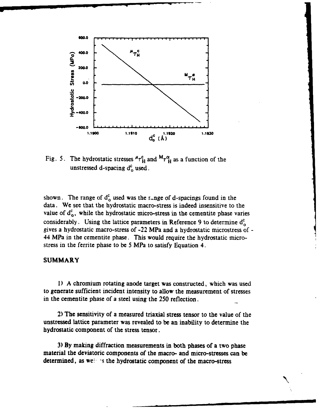

Fig. 5. The hydrostatic stresses  ${}^{\mu}r_H^c$  and  ${}^{\text{M}}r_H^{\alpha}$  as a function of the unstressed d-spacing d<sup>c</sup><sub>0</sub> used.

shown. The range of  $d_0^c$  used was the range of d-spacings found in the data. We see that the hydrostatic macro-stress is indeed insensitive to the value of  $d_{o}^{c}$ , while the hydrostatic micro-stress in the cementite phase varies considerably. Using the lattice parameters in Reference 9 to determine **d** gives a hydrostatic macro-stress of -22 MPa and a hydrostatic microstress of - 44 MPa in the cementite phase. This would require the hydrostatic microstress in the ferrite phase to be **5** MPa to satisfy Equation 4.

### SUMMARY

**1) A** chromium rotating anode target was constructed, which was used to generate sufficient incident intensity to allow the measurement of stresses in the cementite phase of a steel using the 250 reflection.

2) The sensitivity of a measured triaxial stress tensor to the value of the unstressed lattice parameter was revealed to be an inability to determine the hydrostatic component of the stress tensor.

**3) By** making diffraction measurements in both phases of a two phase material the deviatoric components of the macro- and micro-stresses can be determined, as well as the hydrostatic component of the macro-stress

 $\ddot{\phantom{0}}$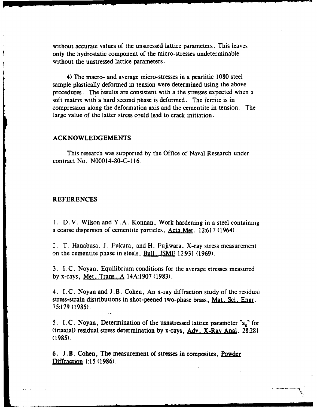without accurate values of the unstressed lattice parameters. This leaves only the hydrostatic component of the micro-stresses undeterminable without the unstressed lattice parameters.

4) The macro- and average micro-stresses in a pearlitic **1080** steel sample plastically deformed in tension were determined using the above procedures. The results are consistent with a the stresses expected when a soft matrix with a hard second phase is deformed. The ferrite is in compression along the deformation axis and the cementite in tension. The large value of the latter stress could lead to crack initiation.

#### **ACKNOWLEDGEMENTS**

This research was supported **by** the Office of Naval Research under contract No. N00014-80-C-l **16.**

#### **REFERENCES**

**1. D.** V. Wilson and Y. **A.** Konnan, Work hardening in a steel containing a coarse dispersion of cementite particles, **Acta Met.** 12:617 (1964).

2. T. Hanabusa. **J.** Fukura, and H. Fujiwara. X-ray stress measurement on the cementite phase in steels, Bull. JSME 12:931 (1969).

**3. I .C.** Noyan. Equilibrium conditions for the average stresses measured **by** x-rays, **Met,** Trans . **A 14A:1907 (1983).**

4. **I. C.** Noyan and J **. B.** Cohen, An x-ray diffraction study of the residual stress-strain distributions in shot-peened two-phase brass, **Mat. Sci. Ener. 75:179** (1985).

5. I.C. Noyan, Determination of the usnstressed lattice parameter "a<sub>o</sub>" for (triaxial) residual stress determination **by** x-rays, Adv. X-Ray Anal. 28:281 (1985).

6. **J. B.** Cohen, The measurement of stresses in composites, Powde Diffracion **1:15 (1986).**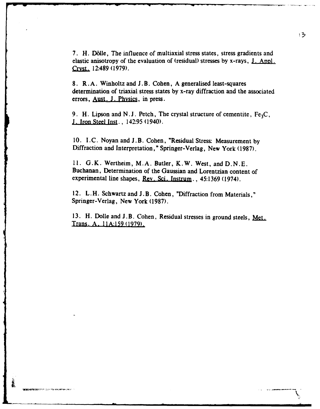**7.** H. D611e, The influence of multiaxial stress states, stress gradients and elastic anisotropy of the evaluation of (residual) stresses **by** x-rays, **J,** Arml. Qyst. 12:489 **(1979).**

**8.** R. **A.** Winholtz and **J.** B. Cohen, **A** generalised least-squares determination of triaxial stress states **by** x-ray diffraction and the associated errors, **Aust, J. Physics,** in press.

9. H. Lipson and N.J. Petch, The crystal structure of cementite, Fe<sub>3</sub>C, **J.** Iron **Steel** Inst., 142:95 (1940).

10. I.C. Noyan and J.B. Cohen, "Residual Stress: Measurement by Diffraction and Interpretation," Springer-Verlag, New York (1987).

11. G.K. Wertheim, M.A. Butler, K.W. West, and D.N.E. Buchanan, Determination of the Gaussian and Lorentzian content of experimental line shapes, **Rev.** Sci. Instrum., 45:1369 (1974).

12. L.H. Schwartz and J.B. Cohen, "Diffraction from Materials," Springer-Verlag, New York **(1987).**

**13.** H. Dolle and J.B. Cohen, Residual stresses in ground steels, Met. Trans. **A.** I1A:159 **(1979).**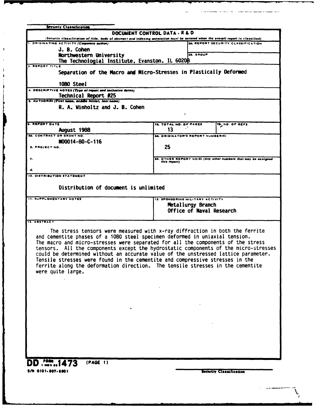| <b>Security Classification</b>                                                                                                                                                   |                                         |                   |                                                                |  |  |
|----------------------------------------------------------------------------------------------------------------------------------------------------------------------------------|-----------------------------------------|-------------------|----------------------------------------------------------------|--|--|
| DOCUMENT CONTROL DATA - R & D                                                                                                                                                    |                                         |                   |                                                                |  |  |
| (Security classification of title, body of abstract and indexing annotation must be entered when the overall report is classified)<br>1. ORIGINATING ACTIVITY (Corporate author) |                                         |                   | 28. REPORT SECURITY CLASSIFICATION                             |  |  |
| J. B. Cohen                                                                                                                                                                      |                                         |                   |                                                                |  |  |
| Northwestern University                                                                                                                                                          |                                         | 26. GROUP         |                                                                |  |  |
| The Technologial Institute, Evanston, IL 60208                                                                                                                                   |                                         |                   |                                                                |  |  |
| 3. REPORT TITLE                                                                                                                                                                  |                                         |                   |                                                                |  |  |
| Separation of the Macro and Micro-Stresses in Plastically Deformed                                                                                                               |                                         |                   |                                                                |  |  |
|                                                                                                                                                                                  |                                         |                   |                                                                |  |  |
| 1080 Steel<br>4. DESCRIPTIVE NOTES (Type of report and inclusive dates)                                                                                                          |                                         |                   |                                                                |  |  |
| Technical Report #25                                                                                                                                                             |                                         |                   |                                                                |  |  |
| s. AUTHORIS) (First name, middle initial, last name)                                                                                                                             |                                         |                   |                                                                |  |  |
| R. A. Winholtz and J. B. Cohen                                                                                                                                                   |                                         |                   |                                                                |  |  |
|                                                                                                                                                                                  |                                         |                   |                                                                |  |  |
|                                                                                                                                                                                  |                                         |                   |                                                                |  |  |
| <b>6. REPORT DATE</b><br>August 1988                                                                                                                                             | 78. TOTAL NO. OF PAGES<br>13            |                   | 78. NO. OF REFS                                                |  |  |
| <b>14. CONTRACT OR GRANT NO.</b>                                                                                                                                                 | <b>M. ORIGINATOR'S REPORT NUMBER(S)</b> |                   |                                                                |  |  |
| M00014-80-C-116                                                                                                                                                                  |                                         |                   |                                                                |  |  |
| <b>b. PROJECT NO.</b>                                                                                                                                                            | 25                                      |                   |                                                                |  |  |
|                                                                                                                                                                                  |                                         |                   |                                                                |  |  |
| c.                                                                                                                                                                               | this report)                            |                   | 90. OTHER REPORT NOIS! (Any other numbers that may be assigned |  |  |
|                                                                                                                                                                                  |                                         |                   |                                                                |  |  |
| d.<br>10. DISTRIBUTION STATEMENT                                                                                                                                                 |                                         |                   |                                                                |  |  |
|                                                                                                                                                                                  |                                         |                   |                                                                |  |  |
| Distribution of document is unlimited                                                                                                                                            |                                         |                   |                                                                |  |  |
|                                                                                                                                                                                  |                                         |                   |                                                                |  |  |
| <b>11. SUPPLEMENTARY NOTES</b>                                                                                                                                                   | 12. SPONSORING MILITARY ACTIVITY        |                   |                                                                |  |  |
|                                                                                                                                                                                  |                                         | Metallurgy Branch |                                                                |  |  |
|                                                                                                                                                                                  | Office of Naval Research                |                   |                                                                |  |  |
| <b>13. ABSTRACT</b>                                                                                                                                                              |                                         |                   |                                                                |  |  |
|                                                                                                                                                                                  |                                         |                   |                                                                |  |  |
| The stress tensors were measured with x-ray diffraction in both the ferrite                                                                                                      |                                         |                   |                                                                |  |  |
| and cementite phases of a 1080 steel specimen deformed in uniaxial tension.                                                                                                      |                                         |                   |                                                                |  |  |
| The macro and micro-stresses were separated for all the components of the stress<br>tensors. All the components except the hydrostatic components of the micro-stresses          |                                         |                   |                                                                |  |  |
| could be determined without an accurate value of the unstressed lattice parameter.                                                                                               |                                         |                   |                                                                |  |  |
| Tensile stresses were found in the cementite and compressive stresses in the                                                                                                     |                                         |                   |                                                                |  |  |
| ferrite along the deformation direction. The tensile stresses in the cementite                                                                                                   |                                         |                   |                                                                |  |  |
| were quite large.                                                                                                                                                                |                                         |                   |                                                                |  |  |
|                                                                                                                                                                                  |                                         |                   |                                                                |  |  |
|                                                                                                                                                                                  |                                         |                   |                                                                |  |  |
|                                                                                                                                                                                  |                                         |                   |                                                                |  |  |
|                                                                                                                                                                                  |                                         |                   |                                                                |  |  |
|                                                                                                                                                                                  |                                         |                   |                                                                |  |  |
|                                                                                                                                                                                  |                                         |                   |                                                                |  |  |
|                                                                                                                                                                                  |                                         |                   |                                                                |  |  |
|                                                                                                                                                                                  |                                         |                   |                                                                |  |  |
|                                                                                                                                                                                  |                                         |                   |                                                                |  |  |
|                                                                                                                                                                                  |                                         |                   |                                                                |  |  |
|                                                                                                                                                                                  |                                         |                   |                                                                |  |  |
|                                                                                                                                                                                  |                                         |                   |                                                                |  |  |
|                                                                                                                                                                                  |                                         |                   |                                                                |  |  |
| (PAGE 1)<br>1473                                                                                                                                                                 |                                         |                   |                                                                |  |  |
| S/N 0101-807-6801                                                                                                                                                                |                                         |                   |                                                                |  |  |
|                                                                                                                                                                                  |                                         |                   | Security Classification                                        |  |  |

ساد بالمساحة